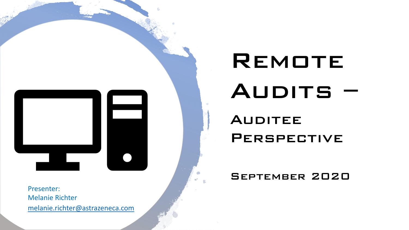

# REMOTE AUDITS – **AUDITEE PERSPECTIVE**

#### September 2020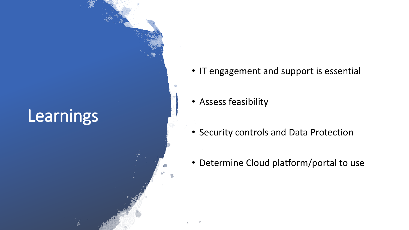# **Learnings**

- IT engagement and support is essential
- Assess feasibility
- Security controls and Data Protection
- Determine Cloud platform/portal to use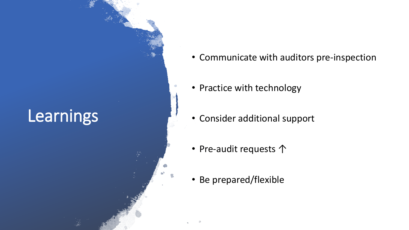# **Learnings**

- Communicate with auditors pre-inspection
- Practice with technology
- Consider additional support
- Pre-audit requests ↑
- Be prepared/flexible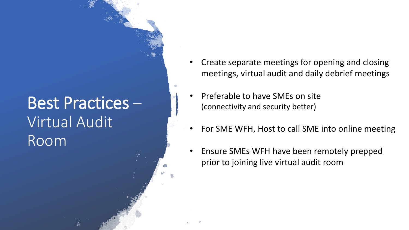# Best Practices – Virtual Audit Room

- Create separate meetings for opening and closing meetings, virtual audit and daily debrief meetings
- Preferable to have SMEs on site (connectivity and security better)
- For SME WFH, Host to call SME into online meeting
- Ensure SMEs WFH have been remotely prepped prior to joining live virtual audit room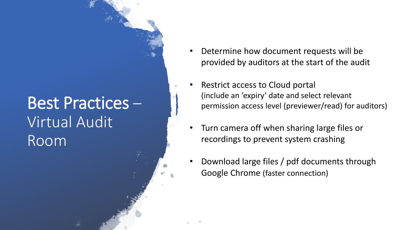## Best Practices – Virtual Audit Room

- Determine how document requests will be provided by auditors at the start of the audit
- Restrict access to Cloud portal (include an 'expiry' date and select relevant permission access level (previewer/read) for auditors)
- Turn camera off when sharing large files or recordings to prevent system crashing
- Download large files / pdf documents through Google Chrome (faster connection)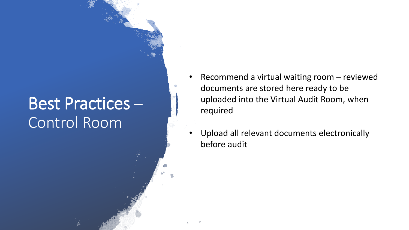#### Best Practices – Control Room

- Recommend a virtual waiting room reviewed documents are stored here ready to be uploaded into the Virtual Audit Room, when required
- Upload all relevant documents electronically before audit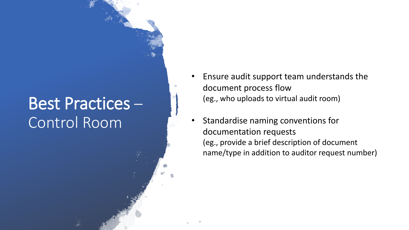#### Best Practices – Control Room

- Ensure audit support team understands the document process flow (eg., who uploads to virtual audit room)
- Standardise naming conventions for documentation requests (eg., provide a brief description of document name/type in addition to auditor request number)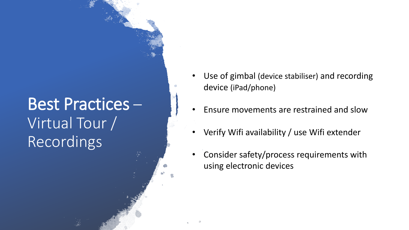# Best Practices – Virtual Tour / Recordings

- Use of gimbal (device stabiliser) and recording device (iPad/phone)
- Ensure movements are restrained and slow
- Verify Wifi availability / use Wifi extender
- Consider safety/process requirements with using electronic devices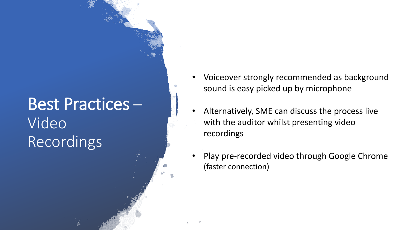# Best Practices – Video **Recordings**

- Voiceover strongly recommended as background sound is easy picked up by microphone
- Alternatively, SME can discuss the process live with the auditor whilst presenting video recordings
- Play pre-recorded video through Google Chrome (faster connection)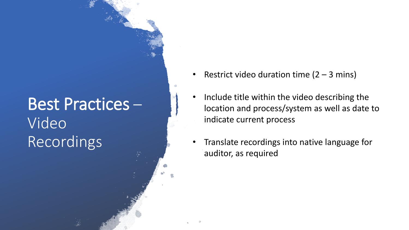# Best Practices – Video Recordings

- Restrict video duration time  $(2 3 mins)$
- Include title within the video describing the location and process/system as well as date to indicate current process
- Translate recordings into native language for auditor, as required